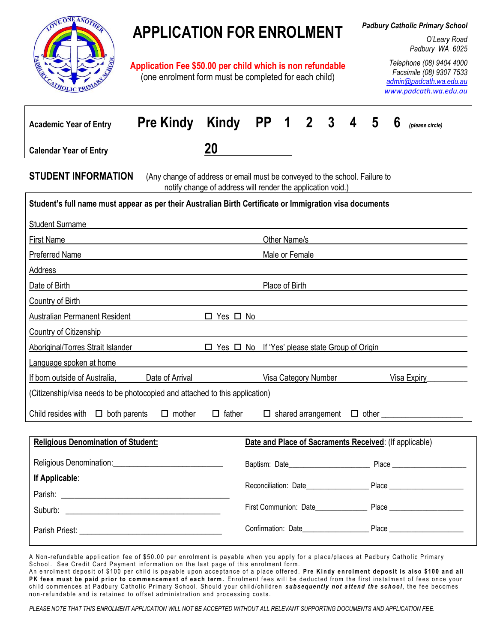

# **APPLICATION FOR ENROLMENT**

**Application Fee \$50.00 per child which is non refundable** (one enrolment form must be completed for each child)

*Padbury Catholic Primary School*

*O'Leary Road Padbury WA 6025*

*Telephone (08) 9404 4000 Facsimile (08) 9307 7533 [admin@padcath.wa.edu.au](mailto:admin@padcath.wa.edu.au) [www.padcath.wa.edu.au](http://www.padcath.wa.edu.au/)*

| <b>Academic Year of Entry</b>                                                                                                                                                                                                  | <b>Pre Kindy</b>                                                                                                      | Kindy                                                       | <b>PP</b>                                              | $\mathbf 1$    | $\mathbf{2}$ | 3                    | 4 | 5 | 6 | (please circle)                               |
|--------------------------------------------------------------------------------------------------------------------------------------------------------------------------------------------------------------------------------|-----------------------------------------------------------------------------------------------------------------------|-------------------------------------------------------------|--------------------------------------------------------|----------------|--------------|----------------------|---|---|---|-----------------------------------------------|
| <b>Calendar Year of Entry</b>                                                                                                                                                                                                  |                                                                                                                       | 20                                                          |                                                        |                |              |                      |   |   |   |                                               |
| <b>STUDENT INFORMATION</b>                                                                                                                                                                                                     | (Any change of address or email must be conveyed to the school. Failure to                                            | notify change of address will render the application void.) |                                                        |                |              |                      |   |   |   |                                               |
| Student's full name must appear as per their Australian Birth Certificate or Immigration visa documents                                                                                                                        |                                                                                                                       |                                                             |                                                        |                |              |                      |   |   |   |                                               |
| <b>Student Surname</b>                                                                                                                                                                                                         |                                                                                                                       |                                                             |                                                        |                |              |                      |   |   |   |                                               |
| <b>First Name</b>                                                                                                                                                                                                              | <u> 1980 - Johann Barnett, fransk politiker (d. 1980)</u>                                                             |                                                             |                                                        | Other Name/s   |              |                      |   |   |   |                                               |
| Preferred Name                                                                                                                                                                                                                 |                                                                                                                       |                                                             |                                                        | Male or Female |              |                      |   |   |   |                                               |
| Address                                                                                                                                                                                                                        |                                                                                                                       |                                                             |                                                        |                |              |                      |   |   |   |                                               |
| Date of Birth                                                                                                                                                                                                                  | <u> 1989 - Johann Stoff, deutscher Stoff, der Stoff, der Stoff, der Stoff, der Stoff, der Stoff, der Stoff, der S</u> |                                                             |                                                        | Place of Birth |              |                      |   |   |   |                                               |
| Country of Birth                                                                                                                                                                                                               |                                                                                                                       |                                                             |                                                        |                |              |                      |   |   |   |                                               |
| <b>Australian Permanent Resident</b>                                                                                                                                                                                           |                                                                                                                       | $\Box$ Yes $\Box$ No                                        |                                                        |                |              |                      |   |   |   |                                               |
| Country of Citizenship                                                                                                                                                                                                         |                                                                                                                       |                                                             |                                                        |                |              |                      |   |   |   |                                               |
| Aboriginal/Torres Strait Islander                                                                                                                                                                                              |                                                                                                                       | □ Yes □ No If 'Yes' please state Group of Origin            |                                                        |                |              |                      |   |   |   |                                               |
| Language spoken at home                                                                                                                                                                                                        |                                                                                                                       |                                                             |                                                        |                |              |                      |   |   |   |                                               |
| If born outside of Australia,                                                                                                                                                                                                  | Date of Arrival                                                                                                       |                                                             |                                                        |                |              | Visa Category Number |   |   |   | Visa Expiry                                   |
| (Citizenship/visa needs to be photocopied and attached to this application)                                                                                                                                                    |                                                                                                                       |                                                             |                                                        |                |              |                      |   |   |   |                                               |
| Child resides with $\Box$ both parents                                                                                                                                                                                         | $\Box$ mother                                                                                                         | $\Box$ father                                               |                                                        |                |              |                      |   |   |   | $\Box$ shared arrangement $\Box$ other $\Box$ |
|                                                                                                                                                                                                                                |                                                                                                                       |                                                             |                                                        |                |              |                      |   |   |   |                                               |
| <b>Religious Denomination of Student:</b>                                                                                                                                                                                      |                                                                                                                       |                                                             | Date and Place of Sacraments Received: (If applicable) |                |              |                      |   |   |   |                                               |
| Religious Denomination: Network and the set of the set of the set of the set of the set of the set of the set of the set of the set of the set of the set of the set of the set of the set of the set of the set of the set of |                                                                                                                       |                                                             |                                                        |                |              |                      |   |   |   | Place <b>Example 20</b>                       |
| If Applicable:                                                                                                                                                                                                                 |                                                                                                                       |                                                             |                                                        |                |              |                      |   |   |   |                                               |

Parish: Suburb:  $\Box$ Parish Priest: **Example 20** For all the state of the state of the state of the state of the state of the state of the state of the state of the state of the state of the state of the state of the state of the state of the Reconciliation: Date\_\_\_\_\_\_\_\_\_\_\_\_\_\_\_\_\_ Place \_\_\_\_\_\_\_\_\_\_\_\_\_\_\_\_\_\_\_\_ First Communion: Date\_\_\_\_\_\_\_\_\_\_\_\_\_\_ Place \_\_\_\_\_\_\_\_\_\_\_\_\_\_\_\_\_\_\_\_ Confirmation: Date\_\_\_\_\_\_\_\_\_\_\_\_\_\_\_\_\_\_ Place \_\_\_\_\_\_\_\_\_\_\_\_\_\_\_\_\_\_\_\_

A Non-refundable application fee of \$50.00 per enrolment is payable when you apply for a place/places at Padbury Catholic Primary School. See Credit Card Payment information on the last page of this enrolment form.

An enrolment deposit of \$100 per child is payable upon acceptance of a place offered. Pre Kindy enrolment deposit is also \$100 and all PK fees must be paid prior to commencement of each term. Enrolment fees will be deducted from the first instalment of fees once your child commences at Padbury Catholic Primary School. Should your child/children subsequently not attend the school, the fee becomes non-refundable and is retained to offset administration and processing costs.

*PLEASE NOTE THAT THIS ENROLMENT APPLICATION WILL NOT BE ACCEPTED WITHOUT ALL RELEVANT SUPPORTING DOCUMENTS AND APPLICATION FEE.*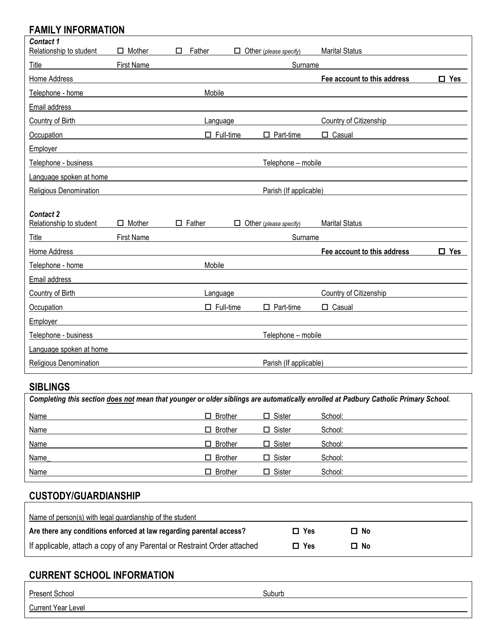## **FAMILY INFORMATION**

| <b>Contact 1</b>                 |                   |               |                  |                                   |                             |               |
|----------------------------------|-------------------|---------------|------------------|-----------------------------------|-----------------------------|---------------|
| Relationship to student          | $\Box$ Mother     | Father<br>П   | П                | Other (please specify)            | <b>Marital Status</b>       |               |
| Title                            | <b>First Name</b> |               |                  | Surname                           |                             |               |
| Home Address                     |                   |               |                  |                                   | Fee account to this address | $\Box$ Yes    |
| Telephone - home                 |                   |               | Mobile           |                                   |                             |               |
| Email address                    |                   |               |                  |                                   |                             |               |
| Country of Birth                 |                   |               | Language         |                                   | Country of Citizenship      |               |
| Occupation                       |                   |               | $\Box$ Full-time | $\Box$ Part-time                  | Casual<br>П.                |               |
| Employer                         |                   |               |                  |                                   |                             |               |
| Telephone - business             |                   |               |                  | Telephone - mobile                |                             |               |
| Language spoken at home          |                   |               |                  |                                   |                             |               |
| Religious Denomination           |                   |               |                  | Parish (If applicable)            |                             |               |
|                                  |                   |               |                  |                                   |                             |               |
|                                  |                   |               |                  |                                   |                             |               |
| <b>Contact 2</b>                 | $\Box$ Mother     | $\Box$ Father | □                |                                   | <b>Marital Status</b>       |               |
| Relationship to student<br>Title | <b>First Name</b> |               |                  | Other (please specify)<br>Surname |                             |               |
| Home Address                     |                   |               |                  |                                   | Fee account to this address | $\square$ Yes |
| Telephone - home                 |                   |               | Mobile           |                                   |                             |               |
| Email address                    |                   |               |                  |                                   |                             |               |
| Country of Birth                 |                   |               | Language         |                                   | Country of Citizenship      |               |
| Occupation                       |                   |               | $\Box$ Full-time | $\Box$ Part-time                  | $\Box$ Casual               |               |
| Employer                         |                   |               |                  |                                   |                             |               |
| Telephone - business             |                   |               |                  | Telephone - mobile                |                             |               |
| Language spoken at home          |                   |               |                  |                                   |                             |               |

## **SIBLINGS**

| Completing this section does not mean that younger or older siblings are automatically enrolled at Padbury Catholic Primary School. |                |               |         |  |  |  |  |
|-------------------------------------------------------------------------------------------------------------------------------------|----------------|---------------|---------|--|--|--|--|
| Name                                                                                                                                | $\Box$ Brother | $\Box$ Sister | School: |  |  |  |  |
| Name                                                                                                                                | $\Box$ Brother | $\Box$ Sister | School: |  |  |  |  |
| Name                                                                                                                                | $\Box$ Brother | $\Box$ Sister | School: |  |  |  |  |
| Name                                                                                                                                | $\Box$ Brother | $\Box$ Sister | School: |  |  |  |  |
| Name                                                                                                                                | $\Box$ Brother | $\Box$ Sister | School: |  |  |  |  |

## **CUSTODY/GUARDIANSHIP**

| Name of person(s) with legal guardianship of the student                 |            |      |  |
|--------------------------------------------------------------------------|------------|------|--|
| Are there any conditions enforced at law regarding parental access?      | $\Box$ Yes | □ No |  |
| If applicable, attach a copy of any Parental or Restraint Order attached | $\Box$ Yes | □ No |  |

## **CURRENT SCHOOL INFORMATION**

| Present School            | Suburb |
|---------------------------|--------|
| <b>Current Year Level</b> |        |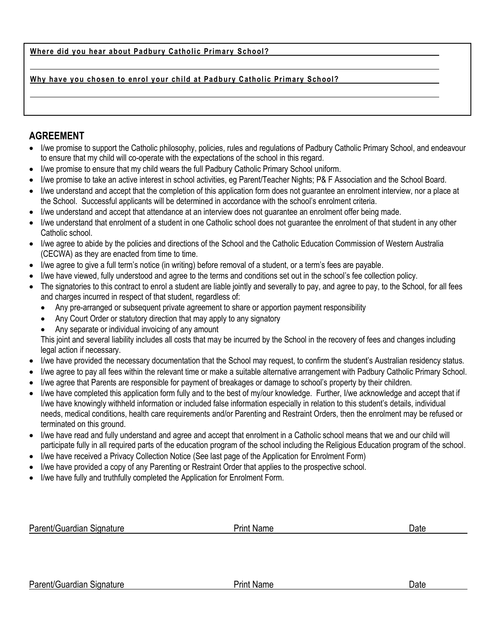#### Where did you hear about Padbury Catholic Primary School?

#### **Why have you chosen to enrol your child at Padbury Catholic Primary School?**

#### **AGREEMENT**

- I/we promise to support the Catholic philosophy, policies, rules and regulations of Padbury Catholic Primary School, and endeavour to ensure that my child will co-operate with the expectations of the school in this regard.
- I/we promise to ensure that my child wears the full Padbury Catholic Primary School uniform.
- I/we promise to take an active interest in school activities, eg Parent/Teacher Nights; P& F Association and the School Board.
- I/we understand and accept that the completion of this application form does not guarantee an enrolment interview, nor a place at the School. Successful applicants will be determined in accordance with the school's enrolment criteria.
- I/we understand and accept that attendance at an interview does not guarantee an enrolment offer being made.
- I/we understand that enrolment of a student in one Catholic school does not guarantee the enrolment of that student in any other Catholic school.
- I/we agree to abide by the policies and directions of the School and the Catholic Education Commission of Western Australia (CECWA) as they are enacted from time to time.
- I/we agree to give a full term's notice (in writing) before removal of a student, or a term's fees are payable.
- I/we have viewed, fully understood and agree to the terms and conditions set out in the school's fee collection policy.
- The signatories to this contract to enrol a student are liable jointly and severally to pay, and agree to pay, to the School, for all fees and charges incurred in respect of that student, regardless of:
	- Any pre-arranged or subsequent private agreement to share or apportion payment responsibility
	- Any Court Order or statutory direction that may apply to any signatory
	- Any separate or individual invoicing of any amount

This joint and several liability includes all costs that may be incurred by the School in the recovery of fees and changes including legal action if necessary.

- I/we have provided the necessary documentation that the School may request, to confirm the student's Australian residency status.
- I/we agree to pay all fees within the relevant time or make a suitable alternative arrangement with Padbury Catholic Primary School.
- I/we agree that Parents are responsible for payment of breakages or damage to school's property by their children.
- I/we have completed this application form fully and to the best of my/our knowledge. Further, I/we acknowledge and accept that if I/we have knowingly withheld information or included false information especially in relation to this student's details, individual needs, medical conditions, health care requirements and/or Parenting and Restraint Orders, then the enrolment may be refused or terminated on this ground.
- I/we have read and fully understand and agree and accept that enrolment in a Catholic school means that we and our child will participate fully in all required parts of the education program of the school including the Religious Education program of the school.
- I/we have received a Privacy Collection Notice (See last page of the Application for Enrolment Form)
- I/we have provided a copy of any Parenting or Restraint Order that applies to the prospective school.
- I/we have fully and truthfully completed the Application for Enrolment Form.

| Parent/Guardian<br>Signature | $\mathsf{v}_{\mathsf{fInl}}$ | Name | Date |
|------------------------------|------------------------------|------|------|
|                              |                              |      |      |

Parent/Guardian Signature **Print Name** Print Name **Prince Print Name** Date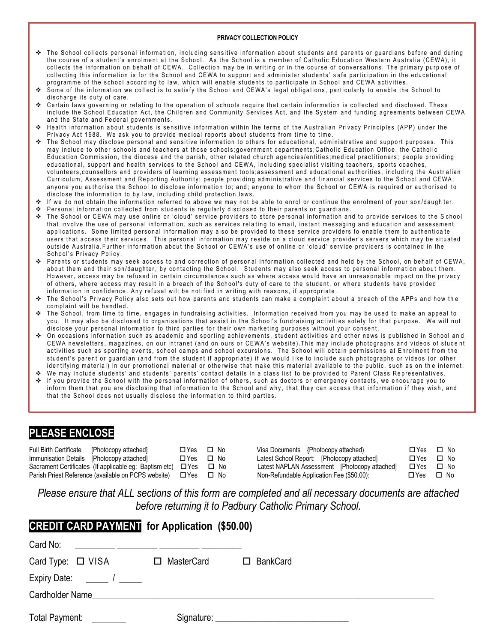#### **PRIVACY COLLECTION POLICY**

- \* The School collects personal information, including sensitive information about students and parents or guardians before and during the course of a student's enrolment at the School. As the School is a member of Catholic Education Western Australia (CEWA), it collects the information on behalf of CEWA. Collection may be in writing or in the course of conversations. The primary purpose of collecting this information is for the School and CEWA to support and administer students' safe participation in the educational programme of the school according to law, which will enable students to participate in School and CEWA activities.
- Some of the information we collect is to satisfy the School and CEWA's legal obligations, particularly to enable the School to discharge its duty of care.
- Certain laws governing or relating to the operation of schools require that certain information is collected and disclosed. These include the School Education Act, the Children and Community Services Act, and the System and funding agreements between CEWA and the State and Federal governments.
- Health information about students is sensitive information within the terms of the Australian Privacy Principles (APP) under the Privacy Act 1988. We ask you to provide medical reports about students from time to time.
- The School may disclose personal and sensitive information to others for educational, administrative and support purposes. This may include to other schools and teachers at those schools;government departments;Catholic Education Office, the Catholic Education Commission, the diocese and the parish, other related church agencies/entities; medical practitioners; people providing educational, support and health services to the School and CEWA, including specialist visiting teachers, sports coaches, volunteers, counsellors and providers of learning assessment tools; assessment and educational authorities, including the Australian Curriculum, Assessment and Reporting Authority; people providing administrative and financial services to the School and CEWA; anyone you authorise the School to disclose information to; and; anyone to whom the School or CEWA is required or authorised to disclose the information to by law, including child protection laws.
- If we do not obtain the information referred to above we may not be able to enrol or continue the enrolment of your son/daugh ter.
- ❖ Personal information collected from students is regularly disclosed to their parents or guardians.
- ◆ The School or CEWA may use online or 'cloud' service providers to store personal information and to provide services to the School that involve the use of personal information, such as services relating to email, instant messaging and education and assessment applications. Some limited personal information may also be provided to these service providers to enable them to authenticate users that access their services. This personal information may reside on a cloud service provider's servers which may be situated outside Australia. Further information about the School or CEWA's use of online or 'cloud' service providers is contained in the School's Privacy Policy.
- Parents or students may seek access to and correction of personal information collected and held by the School, on behalf of CEWA, about them and their son/daughter, by contacting the School. Students may also seek access to personal information about them. However, access may be refused in certain circumstances such as where access would have an unreasonable impact on the privacy of others, where access may result in a breach of the School's duty of care to the student, or where students have provided information in confidence. Any refusal will be notified in writing with reasons, if appropriate.
- The School's Privacy Policy also sets out how parents and students can make a complaint about a breach of the APPs and how the complaint will be handled.
- The School, from time to time, engages in fundraising activities. Information received from you may be used to make an appeal to you. It may also be disclosed to organisations that assist in the School's fundraising activities solely for that purpose. We will not disclose your personal information to third parties for their own marketing purposes without your consent.
- ◆ On occasions information such as academic and sporting achievements, student activities and other news is published in School and CEWA newsletters, magazines, on our intranet (and on ours or CEWA's website). This may include photographs and videos of student activities such as sporting events, school camps and school excursions. The School will obtain permissions at Enrolment from the student's parent or guardian (and from the student if appropriate) if we would like to include such photographs or videos (or other identifying material) in our promotional material or otherwise that make this material available to the public, such as on the internet.
- We may include students' and students' parents' contact details in a class list to be provided to Parent Class Representatives. If you provide the School with the personal information of others, such as doctors or emergency contacts, we encourage you to
- inform them that you are disclosing that information to the School and why, that they can access that information if they wish, and that the School does not usually disclose the information to third parties.

### **PLEASE ENCLOSE**

| <b>Full Birth Certificate</b>             | [Photocopy attached]                                         | □Yes  | ⊟ No |
|-------------------------------------------|--------------------------------------------------------------|-------|------|
| Immunisation Details [Photocopy attached] |                                                              | □ Yes | □ No |
|                                           | Sacrament Certificates (If applicable eg: Baptism etc) □ Yes |       | □ No |
|                                           | Parish Priest Reference (available on PCPS website)          | □Yes  | □ No |

Visa Documents {Photocopy attached) Latest School Report: [Photocopy attached] Latest NAPLAN Assessment [Photocopy attached] Non-Refundable Application Fee (\$50.00):

| ⊟ Yes      | □ No       |
|------------|------------|
| □Yes       | □ No       |
| $\Box$ Yes | □ No       |
| ⊟ Voc      | <b>No.</b> |

*Please ensure that ALL sections of this form are completed and all necessary documents are attached before returning it to Padbury Catholic Primary School.*

| <b>CREDIT CARD PAYMENT</b> for Application (\$50.00) |  |  |  |  |  |  |  |
|------------------------------------------------------|--|--|--|--|--|--|--|
| Card No:                                             |  |  |  |  |  |  |  |
| Card Type: □ VISA □ MasterCard □ BankCard            |  |  |  |  |  |  |  |
| Expiry Date: $\frac{1}{\sqrt{2}}$                    |  |  |  |  |  |  |  |
| Cardholder Name <b>Cardholder</b> Name               |  |  |  |  |  |  |  |
| Total Payment: <u>__________</u>                     |  |  |  |  |  |  |  |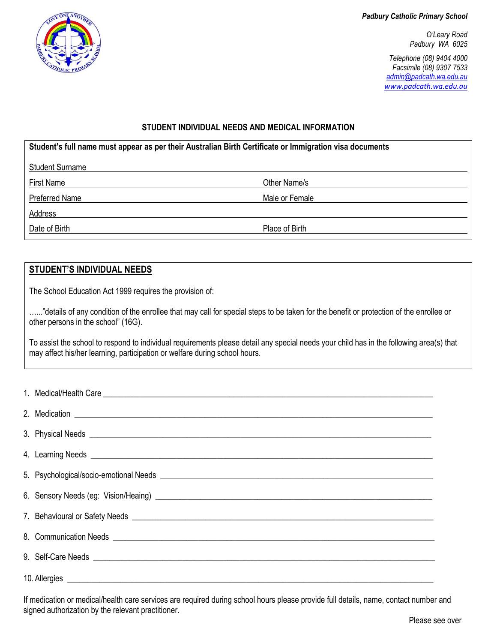*Padbury Catholic Primary School*

*O'Leary Road Padbury WA 6025*

*Telephone (08) 9404 4000 Facsimile (08) 9307 7533 [admin@padcath.wa.edu.au](mailto:admin@padcath.wa.edu.au) [www.padcath.wa.edu.au](http://www.padcath.wa.edu.au/)*

#### **STUDENT INDIVIDUAL NEEDS AND MEDICAL INFORMATION**

| Student's full name must appear as per their Australian Birth Certificate or Immigration visa documents |                |  |  |  |  |  |
|---------------------------------------------------------------------------------------------------------|----------------|--|--|--|--|--|
| <b>Student Surname</b>                                                                                  |                |  |  |  |  |  |
| Other Name/s<br><b>First Name</b>                                                                       |                |  |  |  |  |  |
| Preferred Name<br>Male or Female                                                                        |                |  |  |  |  |  |
| Address                                                                                                 |                |  |  |  |  |  |
| Date of Birth                                                                                           | Place of Birth |  |  |  |  |  |
|                                                                                                         |                |  |  |  |  |  |

#### **STUDENT'S INDIVIDUAL NEEDS**

ANOT

The School Education Act 1999 requires the provision of:

......"details of any condition of the enrollee that may call for special steps to be taken for the benefit or protection of the enrollee or other persons in the school" (16G).

To assist the school to respond to individual requirements please detail any special needs your child has in the following area(s) that may affect his/her learning, participation or welfare during school hours.

| 6. Sensory Needs (eg: Vision/Heaing) <b>contract to the Contract of Contract Contract Contract Contract Contract Contract Contract Contract Contract Contract Contract Contract Contract Contract Contract Contract Contract Con</b> |
|--------------------------------------------------------------------------------------------------------------------------------------------------------------------------------------------------------------------------------------|
|                                                                                                                                                                                                                                      |
|                                                                                                                                                                                                                                      |
|                                                                                                                                                                                                                                      |
|                                                                                                                                                                                                                                      |

If medication or medical/health care services are required during school hours please provide full details, name, contact number and signed authorization by the relevant practitioner.